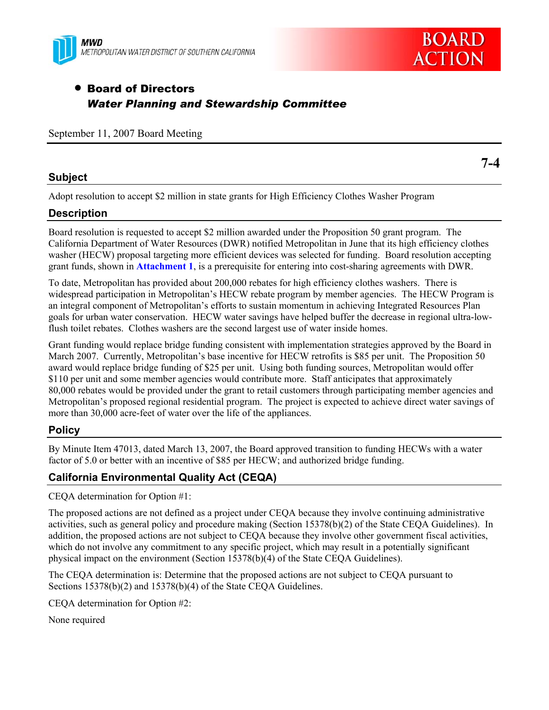



# • Board of Directors *Water Planning and Stewardship Committee*

September 11, 2007 Board Meeting

## **Subject**

**7-4** 

Adopt resolution to accept \$2 million in state grants for High Efficiency Clothes Washer Program

# **Description**

Board resolution is requested to accept \$2 million awarded under the Proposition 50 grant program. The California Department of Water Resources (DWR) notified Metropolitan in June that its high efficiency clothes washer (HECW) proposal targeting more efficient devices was selected for funding. Board resolution accepting grant funds, shown in **Attachment 1**, is a prerequisite for entering into cost-sharing agreements with DWR.

To date, Metropolitan has provided about 200,000 rebates for high efficiency clothes washers. There is widespread participation in Metropolitan's HECW rebate program by member agencies. The HECW Program is an integral component of Metropolitan's efforts to sustain momentum in achieving Integrated Resources Plan goals for urban water conservation. HECW water savings have helped buffer the decrease in regional ultra-lowflush toilet rebates. Clothes washers are the second largest use of water inside homes.

Grant funding would replace bridge funding consistent with implementation strategies approved by the Board in March 2007. Currently, Metropolitan's base incentive for HECW retrofits is \$85 per unit. The Proposition 50 award would replace bridge funding of \$25 per unit. Using both funding sources, Metropolitan would offer \$110 per unit and some member agencies would contribute more. Staff anticipates that approximately 80,000 rebates would be provided under the grant to retail customers through participating member agencies and Metropolitan's proposed regional residential program. The project is expected to achieve direct water savings of more than 30,000 acre-feet of water over the life of the appliances.

# **Policy**

By Minute Item 47013, dated March 13, 2007, the Board approved transition to funding HECWs with a water factor of 5.0 or better with an incentive of \$85 per HECW; and authorized bridge funding.

# **California Environmental Quality Act (CEQA)**

CEQA determination for Option #1:

The proposed actions are not defined as a project under CEQA because they involve continuing administrative activities, such as general policy and procedure making (Section 15378(b)(2) of the State CEQA Guidelines). In addition, the proposed actions are not subject to CEQA because they involve other government fiscal activities, which do not involve any commitment to any specific project, which may result in a potentially significant physical impact on the environment (Section 15378(b)(4) of the State CEQA Guidelines).

The CEQA determination is: Determine that the proposed actions are not subject to CEQA pursuant to Sections 15378(b)(2) and 15378(b)(4) of the State CEQA Guidelines.

CEQA determination for Option #2:

None required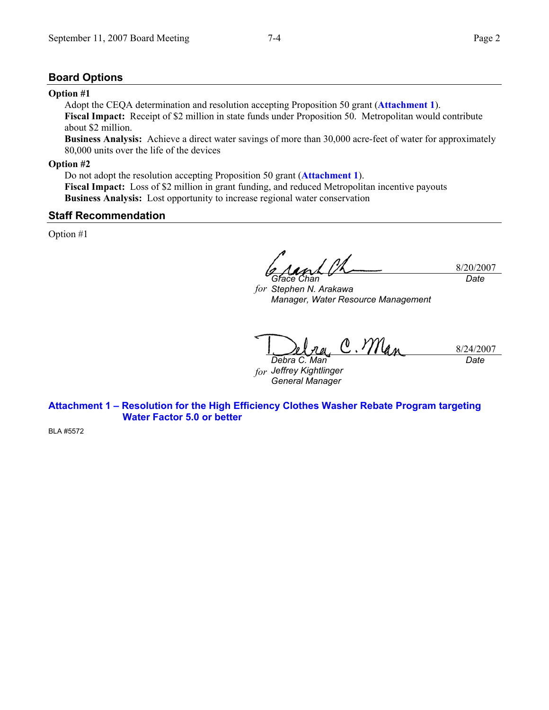## **Board Options**

#### **Option #1**

Adopt the CEQA determination and resolution accepting Proposition 50 grant (**Attachment 1**). **Fiscal Impact:** Receipt of \$2 million in state funds under Proposition 50. Metropolitan would contribute about \$2 million.

**Business Analysis:** Achieve a direct water savings of more than 30,000 acre-feet of water for approximately 80,000 units over the life of the devices

## **Option #2**

Do not adopt the resolution accepting Proposition 50 grant (**Attachment 1**). **Fiscal Impact:** Loss of \$2 million in grant funding, and reduced Metropolitan incentive payouts **Business Analysis:** Lost opportunity to increase regional water conservation

#### **Staff Recommendation**

Option #1

8/20/2007 *Grace Chan Date* 

*for Stephen N. Arakawa Manager, Water Resource Management* 

C. Man 8/24/2007 *Debra C. Man* 

*for Jeffrey Kightlinger General Manager* 

*Date* 

**Attachment 1 – Resolution for the High Efficiency Clothes Washer Rebate Program targeting Water Factor 5.0 or better** 

BLA #5572